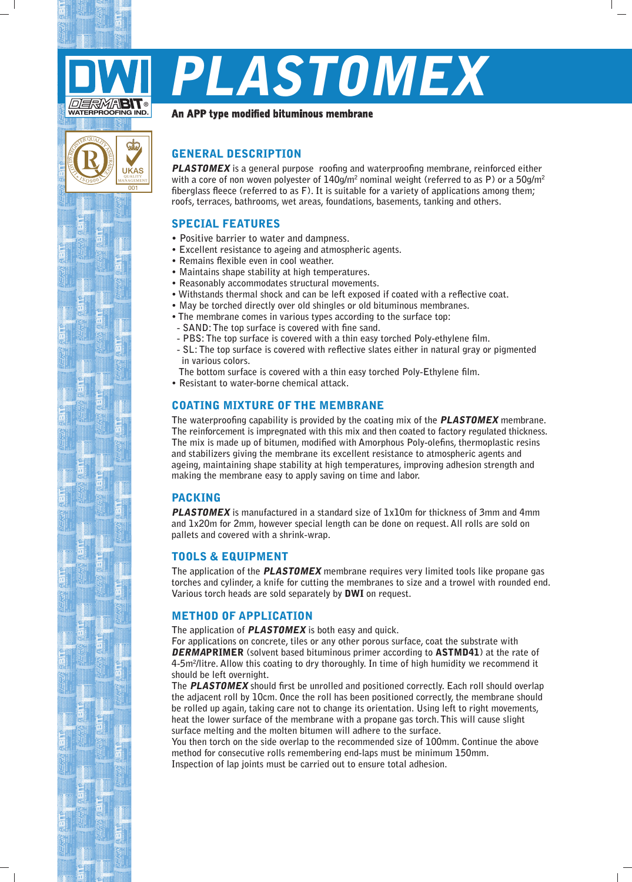

Λ 0 $\sqrt{\frac{20}{9}}$ 

 $\left( \begin{matrix} 0 \end{matrix} \right)$ 

 $\overline{00}$ 

UKAS QUALITY MANAGEMENT

ශ්

# Plastomex

#### An APP type modified bituminous membrane

# **GENERAL DESCRIPTION**

**PLASTOMEX** is a general purpose roofing and waterproofing membrane, reinforced either with a core of non woven polyester of 140g/m<sup>2</sup> nominal weight (referred to as P) or a 50g/m<sup>2</sup> fiberglass fleece (referred to as F). It is suitable for a variety of applications among them: roofs, terraces, bathrooms, wet areas, foundations, basements, tanking and others.

### **SPECIAL FEATURES**

- **.** Positive barrier to water and dampness.
- **Excellent resistance to ageing and atmospheric agents.**
- **Remains flexible even in cool weather.**
- Maintains shape stability at high temperatures.
- Reasonably accommodates structural movements.
- Withstands thermal shock and can be left exposed if coated with a reflective coat.
- May be torched directly over old shingles or old bituminous membranes.
- The membrane comes in various types according to the surface top:
- SAND: The top surface is covered with fine sand.
	- **PBS: The top surface is covered with a thin easy torched Poly-ethylene film.**
- SL: The top surface is covered with reflective slates either in natural gray or pigmented in various colors.
- The bottom surface is covered with a thin easy torched Poly-Ethylene film.
- **Resistant to water-borne chemical attack.**

# COATING MIXTURE OF THE MEMBRANE

The waterproofing capability is provided by the coating mix of the **PLASTOMEX** membrane. The reinforcement is impregnated with this mix and then coated to factory regulated thickness. The mix is made up of bitumen, modified with Amorphous Poly-olefins, thermoplastic resins and stabilizers giving the membrane its excellent resistance to atmospheric agents and ageing, maintaining shape stability at high temperatures, improving adhesion strength and making the membrane easy to apply saving on time and labor.

#### PACKING

**PLASTOMEX** is manufactured in a standard size of 1x10m for thickness of 3mm and 4mm and 1x20m for 2mm, however special length can be done on request. All rolls are sold on pallets and covered with a shrink-wrap.

#### **TOOLS & EQUIPMENT**

The application of the **PLASTOMEX** membrane requires very limited tools like propane gas torches and cylinder, a knife for cutting the membranes to size and a trowel with rounded end. **Various torch heads are sold separately by DWI on request.** 

#### **METHOD OF APPLICATION**

The application of **PLASTOMEX** is both easy and quick.

For applications on concrete, tiles or any other porous surface, coat the substrate with **DERMAPRIMER** (solvent based bituminous primer according to **ASTMD41**) at the rate of 4-5m<sup>2</sup>/litre. Allow this coating to dry thoroughly. In time of high humidity we recommend it should be left overnight.

 **The PLASTOMEX** should first be unrolled and positioned correctly. Each roll should overlap the adiacent roll by 10cm. Once the roll has been positioned correctly, the membrane should be rolled up again, taking care not to change its orientation. Using left to right movements, heat the lower surface of the membrane with a propane gas torch. This will cause slight surface melting and the molten bitumen will adhere to the surface.

You then torch on the side overlap to the recommended size of 100mm. Continue the above method for consecutive rolls remembering end-laps must be minimum 150mm. Inspection of lap joints must be carried out to ensure total adhesion.